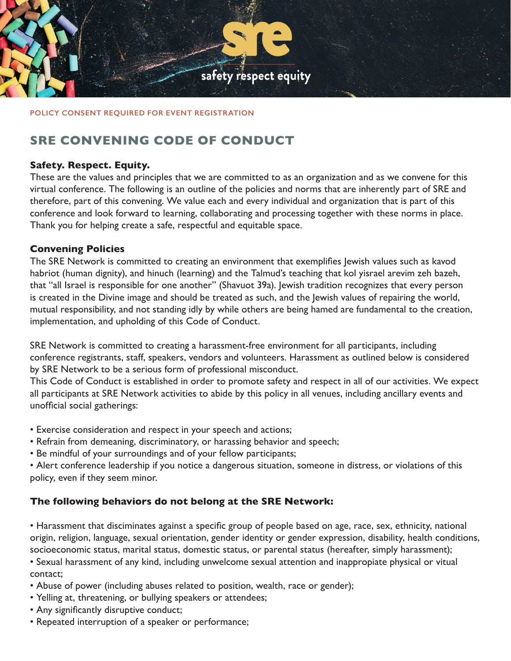

#### **POLICY CONSENT REQUIRED FOR EVENT REGISTRATION**

# **SRE CONVENING CODE OF CONDUCT**

## **Safety. Respect. Equity.**

These are the values and principles that we are committed to as an organization and as we convene for this virtual conference. The following is an outline of the policies and norms that are inherently part of SRE and therefore, part of this convening. We value each and every individual and organization that is part of this conference and look forward to learning, collaborating and processing together with these norms in place. Thank you for helping create a safe, respectful and equitable space.

### **Convening Policies**

The SRE Network is committed to creating an environment that exemplifies Jewish values such as kavod habriot (human dignity), and hinuch (learning) and the Talmud's teaching that kol yisrael arevim zeh bazeh, that "all Israel is responsible for one another" (Shavuot 39a). Jewish tradition recognizes that every person is created in the Divine image and should be treated as such, and the Jewish values of repairing the world, mutual responsibility, and not standing idly by while others are being hamed are fundamental to the creation, implementation, and upholding of this Code of Conduct.

SRE Network is committed to creating a harassment-free environment for all participants, including conference registrants, staff, speakers, vendors and volunteers. Harassment as outlined below is considered by SRE Network to be a serious form of professional misconduct.

This Code of Conduct is established in order to promote safety and respect in all of our activities. We expect all participants at SRE Network activities to abide by this policy in all venues, including ancillary events and unofficial social gatherings:

- Exercise consideration and respect in your speech and actions;
- Refrain from demeaning, discriminatory, or harassing behavior and speech;
- Be mindful of your surroundings and of your fellow participants;

• Alert conference leadership if you notice a dangerous situation, someone in distress, or violations of this policy, even if they seem minor.

## **The following behaviors do not belong at the SRE Network:**

• Harassment that disciminates against a specific group of people based on age, race, sex, ethnicity, national origin, religion, language, sexual orientation, gender identity or gender expression, disability, health conditions, socioeconomic status, marital status, domestic status, or parental status (hereafter, simply harassment);

- Sexual harassment of any kind, including unwelcome sexual attention and inappropiate physical or vitual contact;
- Abuse of power (including abuses related to position, wealth, race or gender);
- Yelling at, threatening, or bullying speakers or attendees;
- Any significantly disruptive conduct;
- Repeated interruption of a speaker or performance;